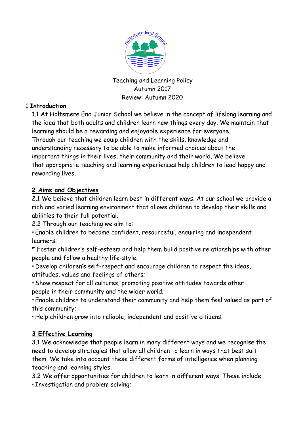

Teaching and Learning Policy Autumn 2017 Review: Autumn 2020

### 1 **Introduction**

1.1 At Holtsmere End Junior School we believe in the concept of lifelong learning and the idea that both adults and children learn new things every day. We maintain that learning should be a rewarding and enjoyable experience for everyone. Through our teaching we equip children with the skills, knowledge and understanding necessary to be able to make informed choices about the important things in their lives, their community and their world. We believe that appropriate teaching and learning experiences help children to lead happy and rewarding lives.

### **2 Aims and Objectives**

2.1 We believe that children learn best in different ways. At our school we provide a rich and varied learning environment that allows children to develop their skills and abilities to their full potential.

2.2 Through our teaching we aim to:

\* Enable children to become confident, resourceful, enquiring and independent learners;

\* Foster children's self-esteem and help them build positive relationships with other people and follow a healthy life-style;

\* Develop children's self-respect and encourage children to respect the ideas, attitudes, values and feelings of others;

\* Show respect for all cultures, promoting positive attitudes towards other people in their community and the wider world;

\* Enable children to understand their community and help them feel valued as part of this community;

\* Help children grow into reliable, independent and positive citizens.

# **3 Effective Learning**

3.1 We acknowledge that people learn in many different ways and we recognise the need to develop strategies that allow all children to learn in ways that best suit them. We take into account these different forms of intelligence when planning teaching and learning styles.

3.2 We offer opportunities for children to learn in different ways. These include: \* Investigation and problem solving;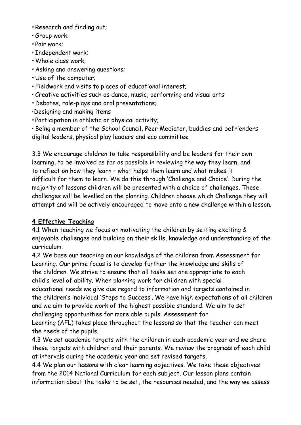- \* Research and finding out;
- \* Group work;
- \* Pair work;
- \* Independent work;
- \* Whole class work;
- \* Asking and answering questions;
- \* Use of the computer;
- \* Fieldwork and visits to places of educational interest;
- \* Creative activities such as dance, music, performing and visual arts
- \* Debates, role-plays and oral presentations;
- \*Designing and making items
- \* Participation in athletic or physical activity;

\* Being a member of the School Council, Peer Mediator, buddies and befrienders digital leaders, physical play leaders and eco committee

3.3 We encourage children to take responsibility and be leaders for their own learning, to be involved as far as possible in reviewing the way they learn, and to reflect on how they learn – what helps them learn and what makes it difficult for them to learn. We do this through 'Challenge and Choice'. During the majority of lessons children will be presented with a choice of challenges. These challenges will be levelled on the planning. Children choose which Challenge they will attempt and will be actively encouraged to move onto a new challenge within a lesson.

### **4 Effective Teaching**

4.1 When teaching we focus on motivating the children by setting exciting & enjoyable challenges and building on their skills, knowledge and understanding of the curriculum.

4.2 We base our teaching on our knowledge of the children from Assessment for Learning. Our prime focus is to develop further the knowledge and skills of the children. We strive to ensure that all tasks set are appropriate to each child's level of ability. When planning work for children with special educational needs we give due regard to information and targets contained in the children's individual 'Steps to Success'. We have high expectations of all children and we aim to provide work of the highest possible standard. We aim to set challenging opportunities for more able pupils. Assessment for Learning (AFL) takes place throughout the lessons so that the teacher can meet the needs of the pupils.

4.3 We set academic targets with the children in each academic year and we share these targets with children and their parents. We review the progress of each child at intervals during the academic year and set revised targets.

4.4 We plan our lessons with clear learning objectives. We take these objectives from the 2014 National Curriculum for each subject. Our lesson plans contain information about the tasks to be set, the resources needed, and the way we assess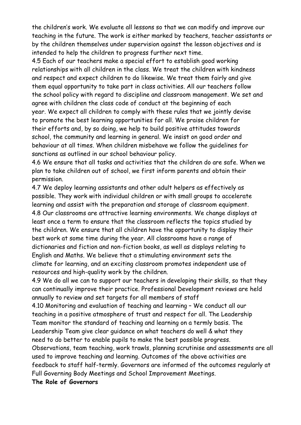the children's work. We evaluate all lessons so that we can modify and improve our teaching in the future. The work is either marked by teachers, teacher assistants or by the children themselves under supervision against the lesson objectives and is intended to help the children to progress further next time.

4.5 Each of our teachers make a special effort to establish good working relationships with all children in the class. We treat the children with kindness and respect and expect children to do likewise. We treat them fairly and give them equal opportunity to take part in class activities. All our teachers follow the school policy with regard to discipline and classroom management. We set and agree with children the class code of conduct at the beginning of each year. We expect all children to comply with these rules that we jointly devise to promote the best learning opportunities for all. We praise children for their efforts and, by so doing, we help to build positive attitudes towards school, the community and learning in general. We insist on good order and behaviour at all times. When children misbehave we follow the guidelines for sanctions as outlined in our school behaviour policy.

4.6 We ensure that all tasks and activities that the children do are safe. When we plan to take children out of school, we first inform parents and obtain their permission.

4.7 We deploy learning assistants and other adult helpers as effectively as possible. They work with individual children or with small groups to accelerate learning and assist with the preparation and storage of classroom equipment. 4.8 Our classrooms are attractive learning environments. We change displays at least once a term to ensure that the classroom reflects the topics studied by the children. We ensure that all children have the opportunity to display their best work at some time during the year. All classrooms have a range of dictionaries and fiction and non-fiction books, as well as displays relating to English and Maths. We believe that a stimulating environment sets the climate for learning, and an exciting classroom promotes independent use of resources and high-quality work by the children.

4.9 We do all we can to support our teachers in developing their skills, so that they can continually improve their practice. Professional Development reviews are held annually to review and set targets for all members of staff

4.10 Monitoring and evaluation of teaching and learning – We conduct all our teaching in a positive atmosphere of trust and respect for all. The Leadership Team monitor the standard of teaching and learning on a termly basis. The Leadership Team give clear guidance on what teachers do well & what they need to do better to enable pupils to make the best possible progress.

Observations, team teaching, work trawls, planning scrutinise and assessments are all used to improve teaching and learning. Outcomes of the above activities are feedback to staff half-termly. Governors are informed of the outcomes regularly at Full Governing Body Meetings and School Improvement Meetings.

**The Role of Governors**